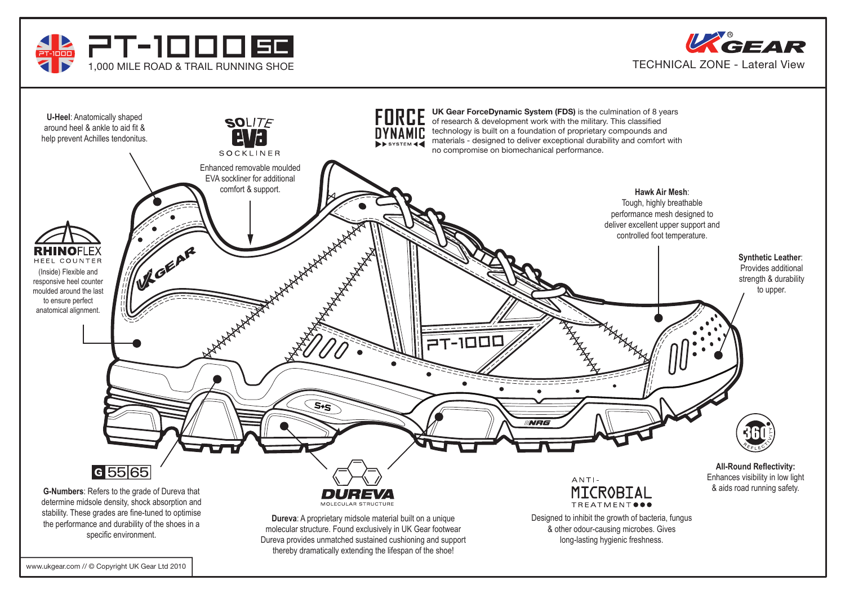



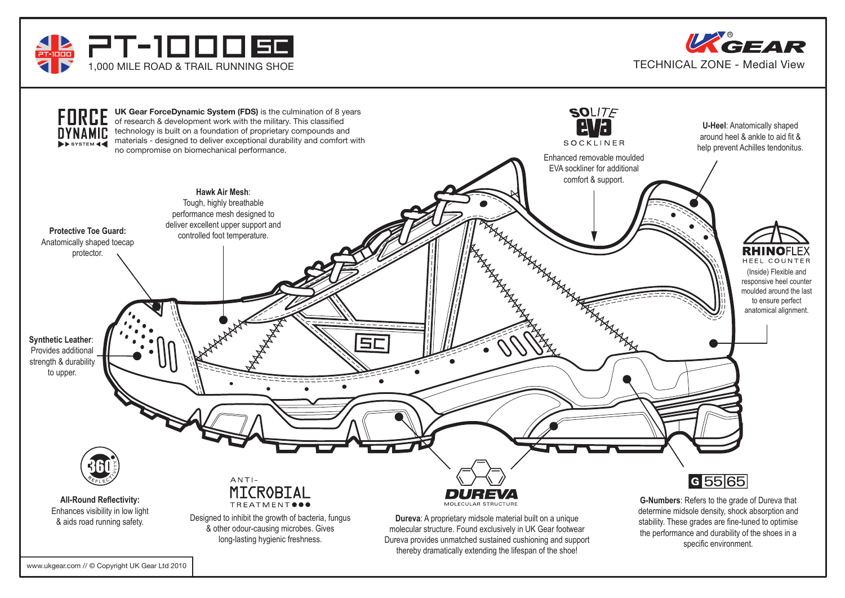